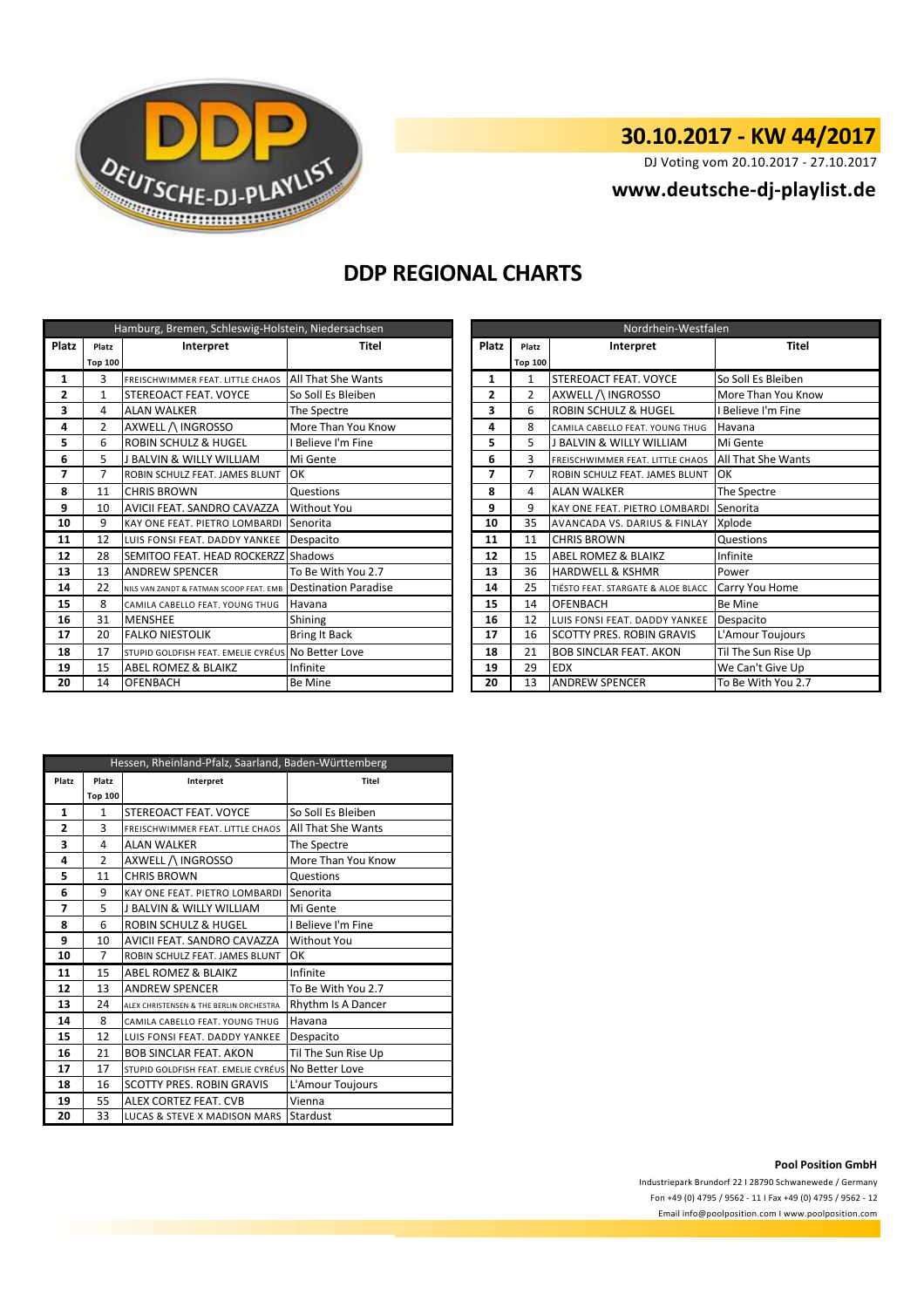

# **30.10.2017 - KW 44/2017**

DJ Voting vom 20.10.2017 - 27.10.2017

### **<www.deutsche-dj-playlist.de>**

## **DDP REGIONAL CHARTS**

| Hamburg, Bremen, Schleswig-Holstein, Niedersachsen |                |                                                    |                      |                | Nordrhein-Westfalen |                                         |                           |  |
|----------------------------------------------------|----------------|----------------------------------------------------|----------------------|----------------|---------------------|-----------------------------------------|---------------------------|--|
| <b>Platz</b>                                       | Platz          | Interpret                                          | Titel                | <b>Platz</b>   | Platz               | Interpret                               | <b>Titel</b>              |  |
|                                                    | <b>Top 100</b> |                                                    |                      |                | <b>Top 100</b>      |                                         |                           |  |
| 1                                                  | 3              | FREISCHWIMMER FEAT. LITTLE CHAOS                   | All That She Wants   | 1              | 1                   | STEREOACT FEAT. VOYCE                   | So Soll Es Bleiben        |  |
| $\overline{2}$                                     | $\mathbf{1}$   | STEREOACT FEAT. VOYCE                              | So Soll Es Bleiben   | $\overline{2}$ | $\overline{2}$      | AXWELL /\ INGROSSO                      | More Than You Know        |  |
| 3                                                  | 4              | <b>ALAN WALKER</b>                                 | The Spectre          | 3              | 6                   | <b>ROBIN SCHULZ &amp; HUGEL</b>         | Believe I'm Fine          |  |
| 4                                                  | $\overline{2}$ | AXWELL /\ INGROSSO                                 | More Than You Know   | 4              | 8                   | CAMILA CABELLO FEAT. YOUNG THUG         | Havana                    |  |
| 5                                                  | 6              | <b>ROBIN SCHULZ &amp; HUGEL</b>                    | Believe I'm Fine     | 5              | 5.                  | <b>BALVIN &amp; WILLY WILLIAM</b>       | Mi Gente                  |  |
| 6                                                  | 5.             | <b>J BALVIN &amp; WILLY WILLIAM</b>                | Mi Gente             | 6              | 3                   | FREISCHWIMMER FEAT. LITTLE CHAOS        | <b>All That She Wants</b> |  |
| 7                                                  | 7              | ROBIN SCHULZ FEAT. JAMES BLUNT                     | OK                   | 7              | 7                   | ROBIN SCHULZ FEAT. JAMES BLUNT          | OK                        |  |
| 8                                                  | 11             | <b>CHRIS BROWN</b>                                 | Questions            | 8              | 4                   | <b>ALAN WALKER</b>                      | The Spectre               |  |
| 9                                                  | 10             | AVICII FEAT. SANDRO CAVAZZA                        | <b>Without You</b>   | 9              | 9                   | KAY ONE FEAT. PIETRO LOMBARDI Senorita  |                           |  |
| 10                                                 | 9              | KAY ONE FEAT. PIETRO LOMBARDI Senorita             |                      | 10             | 35                  | <b>AVANCADA VS. DARIUS &amp; FINLAY</b> | Xplode                    |  |
| 11                                                 | 12             | LUIS FONSI FEAT. DADDY YANKEE                      | Despacito            | 11             | 11                  | <b>CHRIS BROWN</b>                      | Questions                 |  |
| 12                                                 | 28             | SEMITOO FEAT. HEAD ROCKERZZ Shadows                |                      | 12             | 15                  | <b>ABEL ROMEZ &amp; BLAIKZ</b>          | Infinite                  |  |
| 13                                                 | 13             | <b>ANDREW SPENCER</b>                              | To Be With You 2.7   | 13             | 36                  | <b>HARDWELL &amp; KSHMR</b>             | Power                     |  |
| 14                                                 | 22             | NILS VAN ZANDT & FATMAN SCOOP FEAT. EMB            | Destination Paradise | 14             | 25                  | TIËSTO FEAT. STARGATE & ALOE BLACC      | Carry You Home            |  |
| 15                                                 | 8              | CAMILA CABELLO FEAT. YOUNG THUG                    | Havana               | 15             | 14                  | <b>OFENBACH</b>                         | <b>Be Mine</b>            |  |
| 16                                                 | 31             | <b>MENSHEE</b>                                     | Shining              | 16             | 12                  | LUIS FONSI FEAT. DADDY YANKEE           | Despacito                 |  |
| 17                                                 | 20             | <b>FALKO NIESTOLIK</b>                             | <b>Bring It Back</b> | 17             | 16                  | <b>SCOTTY PRES. ROBIN GRAVIS</b>        | L'Amour Toujours          |  |
| 18                                                 | 17             | STUPID GOLDFISH FEAT. EMELIE CYRÉUS NO Better Love |                      | 18             | 21                  | <b>BOB SINCLAR FEAT. AKON</b>           | Til The Sun Rise Up       |  |
| 19                                                 | 15             | <b>ABEL ROMEZ &amp; BLAIKZ</b>                     | Infinite             | 19             | 29                  | <b>EDX</b>                              | We Can't Give Up          |  |
| 20                                                 | 14             | <b>OFENBACH</b>                                    | Be Mine              | 20             | 13                  | <b>ANDREW SPENCER</b>                   | To Be With You 2.7        |  |

| Nordrhein-Westfalen |                |                                     |                     |  |
|---------------------|----------------|-------------------------------------|---------------------|--|
| Platz               | Platz          | Interpret                           | <b>Titel</b>        |  |
|                     | <b>Top 100</b> |                                     |                     |  |
| $\mathbf{1}$        | $\mathbf{1}$   | STEREOACT FEAT. VOYCE               | So Soll Es Bleiben  |  |
| 2                   | $\overline{2}$ | AXWELL /\ INGROSSO                  | More Than You Know  |  |
| 3                   | 6              | <b>ROBIN SCHULZ &amp; HUGEL</b>     | I Believe I'm Fine  |  |
| 4                   | 8              | CAMILA CABELLO FEAT. YOUNG THUG     | Havana              |  |
| 5                   | 5              | <b>J BALVIN &amp; WILLY WILLIAM</b> | Mi Gente            |  |
| 6                   | 3              | FREISCHWIMMER FEAT. LITTLE CHAOS    | All That She Wants  |  |
| 7                   | 7              | ROBIN SCHULZ FEAT. JAMES BLUNT      | OK                  |  |
| 8                   | 4              | <b>ALAN WALKER</b>                  | The Spectre         |  |
| 9                   | 9              | KAY ONE FEAT. PIETRO LOMBARDI       | Senorita            |  |
| 10                  | 35             | AVANCADA VS. DARIUS & FINLAY        | Xplode              |  |
| 11                  | 11             | <b>CHRIS BROWN</b>                  | Questions           |  |
| 12                  | 15             | ABEL ROMEZ & BLAIKZ                 | Infinite            |  |
| 13                  | 36             | <b>HARDWELL &amp; KSHMR</b>         | Power               |  |
| 14                  | 25             | TIËSTO FEAT. STARGATE & ALOE BLACC  | Carry You Home      |  |
| 15                  | 14             | <b>OFENBACH</b>                     | Be Mine             |  |
| 16                  | 12             | LUIS FONSI FEAT. DADDY YANKEE       | Despacito           |  |
| 17                  | 16             | <b>SCOTTY PRES. ROBIN GRAVIS</b>    | L'Amour Toujours    |  |
| 18                  | 21             | <b>BOB SINCLAR FEAT. AKON</b>       | Til The Sun Rise Up |  |
| 19                  | 29             | <b>EDX</b>                          | We Can't Give Up    |  |
| 20                  | 13             | <b>ANDREW SPENCER</b>               | To Be With You 2.7  |  |

| Hessen, Rheinland-Pfalz, Saarland, Baden-Württemberg |                |                                                    |                     |  |
|------------------------------------------------------|----------------|----------------------------------------------------|---------------------|--|
| Platz                                                | Platz          | Interpret                                          | <b>Titel</b>        |  |
|                                                      | <b>Top 100</b> |                                                    |                     |  |
| 1                                                    | $\mathbf{1}$   | STEREOACT FEAT. VOYCE                              | So Soll Es Bleiben  |  |
| 2                                                    | 3              | FREISCHWIMMER FEAT. LITTLE CHAOS                   | All That She Wants  |  |
| 3                                                    | 4              | <b>ALAN WALKER</b>                                 | The Spectre         |  |
| 4                                                    | $\overline{2}$ | AXWELL /\ INGROSSO                                 | More Than You Know  |  |
| 5                                                    | 11             | <b>CHRIS BROWN</b>                                 | Questions           |  |
| 6                                                    | 9              | KAY ONE FEAT. PIETRO LOMBARDI                      | Senorita            |  |
| 7                                                    | 5              | J BALVIN & WILLY WILLIAM                           | Mi Gente            |  |
| 8                                                    | 6              | <b>ROBIN SCHULZ &amp; HUGEL</b>                    | I Believe I'm Fine  |  |
| 9                                                    | 10             | AVICII FEAT. SANDRO CAVAZZA                        | Without You         |  |
| 10                                                   | 7              | ROBIN SCHULZ FEAT. JAMES BLUNT                     | OK                  |  |
| 11                                                   | 15             | ABEL ROMEZ & BLAIKZ                                | Infinite            |  |
| 12                                                   | 13             | <b>ANDREW SPENCER</b>                              | To Be With You 2.7  |  |
| 13                                                   | 24             | ALEX CHRISTENSEN & THE BERLIN ORCHESTRA            | Rhythm Is A Dancer  |  |
| 14                                                   | 8              | CAMILA CABELLO FEAT. YOUNG THUG                    | Havana              |  |
| 15                                                   | 12             | LUIS FONSI FEAT. DADDY YANKEE                      | Despacito           |  |
| 16                                                   | 21             | <b>BOB SINCLAR FEAT, AKON</b>                      | Til The Sun Rise Up |  |
| 17                                                   | 17             | STUPID GOLDFISH FEAT. EMELIE CYRÉUS NO Better Love |                     |  |
| 18                                                   | 16             | <b>SCOTTY PRES. ROBIN GRAVIS</b>                   | L'Amour Toujours    |  |
| 19                                                   | 55             | ALEX CORTEZ FEAT. CVB                              | Vienna              |  |
| 20                                                   | 33             | LUCAS & STEVE X MADISON MARS                       | Stardust            |  |

### **Pool Position GmbH**

Industriepark Brundorf 22 I 28790 Schwanewede / Germany Fon +49 (0) 4795 / 9562 - 11 I Fax +49 (0) 4795 / 9562 - 12 <Email info@poolposition.com I www.poolposition.com>